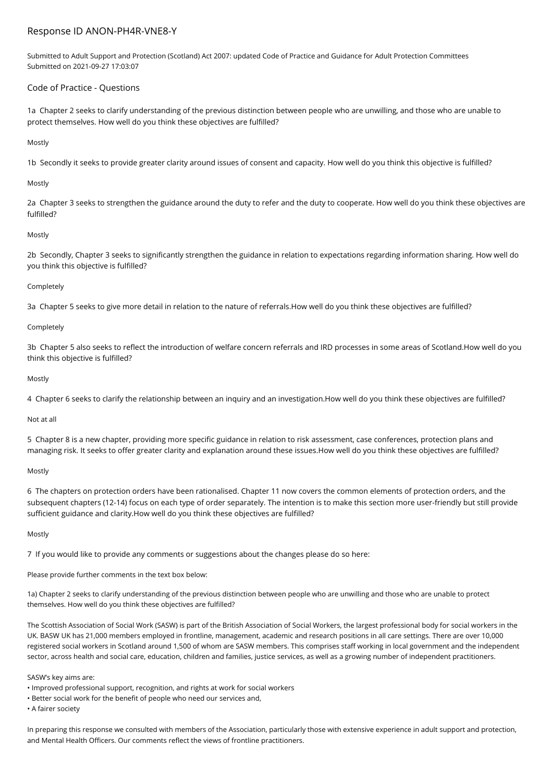# Response ID ANON-PH4R-VNE8-Y

Submitted to Adult Support and Protection (Scotland) Act 2007: updated Code of Practice and Guidance for Adult Protection Committees Submitted on 2021-09-27 17:03:07

## Code of Practice - Questions

1a Chapter 2 seeks to clarify understanding of the previous distinction between people who are unwilling, and those who are unable to protect themselves. How well do you think these objectives are fulfilled?

### Mostly

1b Secondly it seeks to provide greater clarity around issues of consent and capacity. How well do you think this objective is fulfilled?

### Mostly

2a Chapter 3 seeks to strengthen the guidance around the duty to refer and the duty to cooperate. How well do you think these objectives are fulfilled?

### Mostly

2b Secondly, Chapter 3 seeks to significantly strengthen the guidance in relation to expectations regarding information sharing. How well do you think this objective is fulfilled?

### Completely

3a Chapter 5 seeks to give more detail in relation to the nature of referrals.How well do you think these objectives are fulfilled?

### **Completely**

3b Chapter 5 also seeks to reflect the introduction of welfare concern referrals and IRD processes in some areas of Scotland.How well do you think this objective is fulfilled?

### Mostly

4 Chapter 6 seeks to clarify the relationship between an inquiry and an investigation.How well do you think these objectives are fulfilled?

### Not at all

5 Chapter 8 is a new chapter, providing more specific guidance in relation to risk assessment, case conferences, protection plans and managing risk. It seeks to offer greater clarity and explanation around these issues.How well do you think these objectives are fulfilled?

### Mostly

6 The chapters on protection orders have been rationalised. Chapter 11 now covers the common elements of protection orders, and the subsequent chapters (12-14) focus on each type of order separately. The intention is to make this section more user-friendly but still provide sufficient guidance and clarity.How well do you think these objectives are fulfilled?

### Mostly

7 If you would like to provide any comments or suggestions about the changes please do so here:

Please provide further comments in the text box below:

1a) Chapter 2 seeks to clarify understanding of the previous distinction between people who are unwilling and those who are unable to protect themselves. How well do you think these objectives are fulfilled?

The Scottish Association of Social Work (SASW) is part of the British Association of Social Workers, the largest professional body for social workers in the UK. BASW UK has 21,000 members employed in frontline, management, academic and research positions in all care settings. There are over 10,000 registered social workers in Scotland around 1,500 of whom are SASW members. This comprises staff working in local government and the independent sector, across health and social care, education, children and families, justice services, as well as a growing number of independent practitioners.

SASW's key aims are:

- Improved professional support, recognition, and rights at work for social workers
- Better social work for the benefit of people who need our services and,

• A fairer society

In preparing this response we consulted with members of the Association, particularly those with extensive experience in adult support and protection, and Mental Health Officers. Our comments reflect the views of frontline practitioners.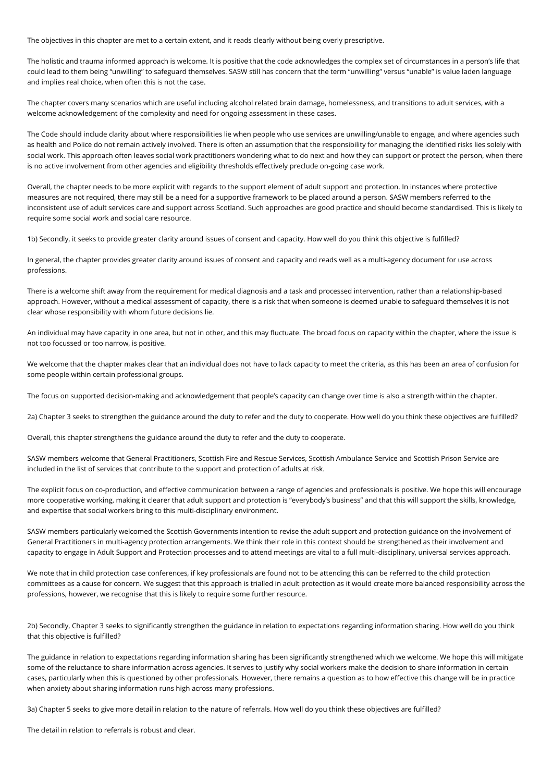The objectives in this chapter are met to a certain extent, and it reads clearly without being overly prescriptive.

The holistic and trauma informed approach is welcome. It is positive that the code acknowledges the complex set of circumstances in a person's life that could lead to them being "unwilling" to safeguard themselves. SASW still has concern that the term "unwilling" versus "unable" is value laden language and implies real choice, when often this is not the case.

The chapter covers many scenarios which are useful including alcohol related brain damage, homelessness, and transitions to adult services, with a welcome acknowledgement of the complexity and need for ongoing assessment in these cases.

The Code should include clarity about where responsibilities lie when people who use services are unwilling/unable to engage, and where agencies such as health and Police do not remain actively involved. There is often an assumption that the responsibility for managing the identified risks lies solely with social work. This approach often leaves social work practitioners wondering what to do next and how they can support or protect the person, when there is no active involvement from other agencies and eligibility thresholds effectively preclude on-going case work.

Overall, the chapter needs to be more explicit with regards to the support element of adult support and protection. In instances where protective measures are not required, there may still be a need for a supportive framework to be placed around a person. SASW members referred to the inconsistent use of adult services care and support across Scotland. Such approaches are good practice and should become standardised. This is likely to require some social work and social care resource.

1b) Secondly, it seeks to provide greater clarity around issues of consent and capacity. How well do you think this objective is fulfilled?

In general, the chapter provides greater clarity around issues of consent and capacity and reads well as a multi-agency document for use across professions.

There is a welcome shift away from the requirement for medical diagnosis and a task and processed intervention, rather than a relationship-based approach. However, without a medical assessment of capacity, there is a risk that when someone is deemed unable to safeguard themselves it is not clear whose responsibility with whom future decisions lie.

An individual may have capacity in one area, but not in other, and this may fluctuate. The broad focus on capacity within the chapter, where the issue is not too focussed or too narrow, is positive.

We welcome that the chapter makes clear that an individual does not have to lack capacity to meet the criteria, as this has been an area of confusion for some people within certain professional groups.

The focus on supported decision-making and acknowledgement that people's capacity can change over time is also a strength within the chapter.

2a) Chapter 3 seeks to strengthen the guidance around the duty to refer and the duty to cooperate. How well do you think these objectives are fulfilled?

Overall, this chapter strengthens the guidance around the duty to refer and the duty to cooperate.

SASW members welcome that General Practitioners, Scottish Fire and Rescue Services, Scottish Ambulance Service and Scottish Prison Service are included in the list of services that contribute to the support and protection of adults at risk.

The explicit focus on co-production, and effective communication between a range of agencies and professionals is positive. We hope this will encourage more cooperative working, making it clearer that adult support and protection is "everybody's business" and that this will support the skills, knowledge, and expertise that social workers bring to this multi-disciplinary environment.

SASW members particularly welcomed the Scottish Governments intention to revise the adult support and protection guidance on the involvement of General Practitioners in multi-agency protection arrangements. We think their role in this context should be strengthened as their involvement and capacity to engage in Adult Support and Protection processes and to attend meetings are vital to a full multi-disciplinary, universal services approach.

We note that in child protection case conferences, if key professionals are found not to be attending this can be referred to the child protection committees as a cause for concern. We suggest that this approach is trialled in adult protection as it would create more balanced responsibility across the professions, however, we recognise that this is likely to require some further resource.

2b) Secondly, Chapter 3 seeks to significantly strengthen the guidance in relation to expectations regarding information sharing. How well do you think that this objective is fulfilled?

The guidance in relation to expectations regarding information sharing has been significantly strengthened which we welcome. We hope this will mitigate some of the reluctance to share information across agencies. It serves to justify why social workers make the decision to share information in certain cases, particularly when this is questioned by other professionals. However, there remains a question as to how effective this change will be in practice when anxiety about sharing information runs high across many professions.

3a) Chapter 5 seeks to give more detail in relation to the nature of referrals. How well do you think these objectives are fulfilled?

The detail in relation to referrals is robust and clear.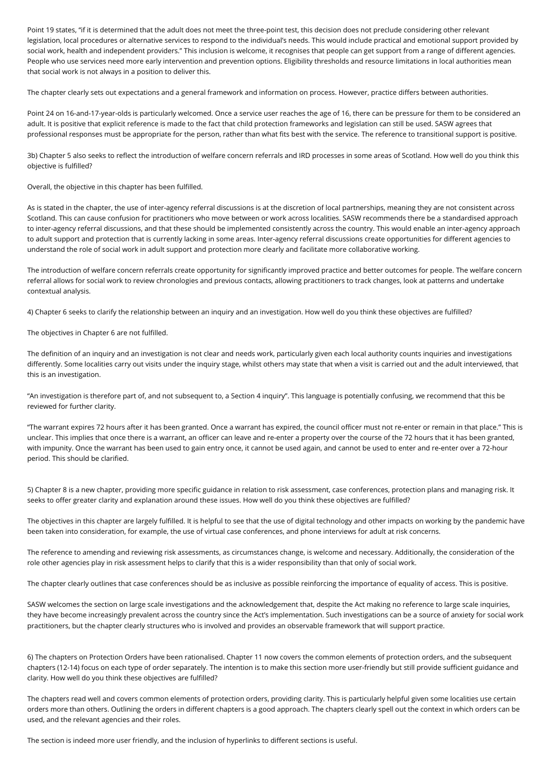Point 19 states, "if it is determined that the adult does not meet the three-point test, this decision does not preclude considering other relevant legislation, local procedures or alternative services to respond to the individual's needs. This would include practical and emotional support provided by social work, health and independent providers." This inclusion is welcome, it recognises that people can get support from a range of different agencies. People who use services need more early intervention and prevention options. Eligibility thresholds and resource limitations in local authorities mean that social work is not always in a position to deliver this.

The chapter clearly sets out expectations and a general framework and information on process. However, practice differs between authorities.

Point 24 on 16-and-17-year-olds is particularly welcomed. Once a service user reaches the age of 16, there can be pressure for them to be considered an adult. It is positive that explicit reference is made to the fact that child protection frameworks and legislation can still be used. SASW agrees that professional responses must be appropriate for the person, rather than what fits best with the service. The reference to transitional support is positive.

3b) Chapter 5 also seeks to reflect the introduction of welfare concern referrals and IRD processes in some areas of Scotland. How well do you think this objective is fulfilled?

Overall, the objective in this chapter has been fulfilled.

As is stated in the chapter, the use of inter-agency referral discussions is at the discretion of local partnerships, meaning they are not consistent across Scotland. This can cause confusion for practitioners who move between or work across localities. SASW recommends there be a standardised approach to inter-agency referral discussions, and that these should be implemented consistently across the country. This would enable an inter-agency approach to adult support and protection that is currently lacking in some areas. Inter-agency referral discussions create opportunities for different agencies to understand the role of social work in adult support and protection more clearly and facilitate more collaborative working.

The introduction of welfare concern referrals create opportunity for significantly improved practice and better outcomes for people. The welfare concern referral allows for social work to review chronologies and previous contacts, allowing practitioners to track changes, look at patterns and undertake contextual analysis.

4) Chapter 6 seeks to clarify the relationship between an inquiry and an investigation. How well do you think these objectives are fulfilled?

The objectives in Chapter 6 are not fulfilled.

The definition of an inquiry and an investigation is not clear and needs work, particularly given each local authority counts inquiries and investigations differently. Some localities carry out visits under the inquiry stage, whilst others may state that when a visit is carried out and the adult interviewed, that this is an investigation.

"An investigation is therefore part of, and not subsequent to, a Section 4 inquiry". This language is potentially confusing, we recommend that this be reviewed for further clarity.

"The warrant expires 72 hours after it has been granted. Once a warrant has expired, the council officer must not re-enter or remain in that place." This is unclear. This implies that once there is a warrant, an officer can leave and re-enter a property over the course of the 72 hours that it has been granted, with impunity. Once the warrant has been used to gain entry once, it cannot be used again, and cannot be used to enter and re-enter over a 72-hour period. This should be clarified.

5) Chapter 8 is a new chapter, providing more specific guidance in relation to risk assessment, case conferences, protection plans and managing risk. It seeks to offer greater clarity and explanation around these issues. How well do you think these objectives are fulfilled?

The objectives in this chapter are largely fulfilled. It is helpful to see that the use of digital technology and other impacts on working by the pandemic have been taken into consideration, for example, the use of virtual case conferences, and phone interviews for adult at risk concerns.

The reference to amending and reviewing risk assessments, as circumstances change, is welcome and necessary. Additionally, the consideration of the role other agencies play in risk assessment helps to clarify that this is a wider responsibility than that only of social work.

The chapter clearly outlines that case conferences should be as inclusive as possible reinforcing the importance of equality of access. This is positive.

SASW welcomes the section on large scale investigations and the acknowledgement that, despite the Act making no reference to large scale inquiries, they have become increasingly prevalent across the country since the Act's implementation. Such investigations can be a source of anxiety for social work practitioners, but the chapter clearly structures who is involved and provides an observable framework that will support practice.

6) The chapters on Protection Orders have been rationalised. Chapter 11 now covers the common elements of protection orders, and the subsequent chapters (12-14) focus on each type of order separately. The intention is to make this section more user-friendly but still provide sufficient guidance and clarity. How well do you think these objectives are fulfilled?

The chapters read well and covers common elements of protection orders, providing clarity. This is particularly helpful given some localities use certain orders more than others. Outlining the orders in different chapters is a good approach. The chapters clearly spell out the context in which orders can be used, and the relevant agencies and their roles.

The section is indeed more user friendly, and the inclusion of hyperlinks to different sections is useful.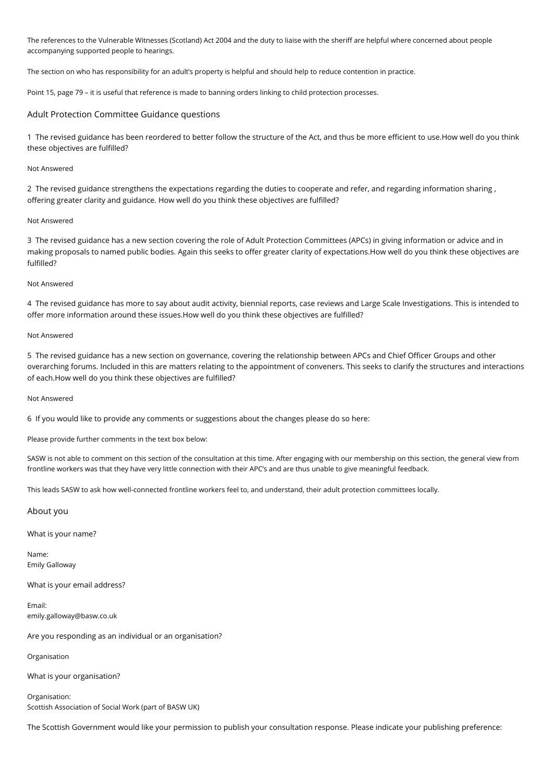The references to the Vulnerable Witnesses (Scotland) Act 2004 and the duty to liaise with the sheriff are helpful where concerned about people accompanying supported people to hearings.

The section on who has responsibility for an adult's property is helpful and should help to reduce contention in practice.

Point 15, page 79 – it is useful that reference is made to banning orders linking to child protection processes.

### Adult Protection Committee Guidance questions

1 The revised guidance has been reordered to better follow the structure of the Act, and thus be more efficient to use.How well do you think these objectives are fulfilled?

#### Not Answered

2 The revised guidance strengthens the expectations regarding the duties to cooperate and refer, and regarding information sharing , offering greater clarity and guidance. How well do you think these objectives are fulfilled?

#### Not Answered

3 The revised guidance has a new section covering the role of Adult Protection Committees (APCs) in giving information or advice and in making proposals to named public bodies. Again this seeks to offer greater clarity of expectations.How well do you think these objectives are fulfilled?

#### Not Answered

4 The revised guidance has more to say about audit activity, biennial reports, case reviews and Large Scale Investigations. This is intended to offer more information around these issues.How well do you think these objectives are fulfilled?

#### Not Answered

5 The revised guidance has a new section on governance, covering the relationship between APCs and Chief Officer Groups and other overarching forums. Included in this are matters relating to the appointment of conveners. This seeks to clarify the structures and interactions of each.How well do you think these objectives are fulfilled?

#### Not Answered

6 If you would like to provide any comments or suggestions about the changes please do so here:

Please provide further comments in the text box below:

SASW is not able to comment on this section of the consultation at this time. After engaging with our membership on this section, the general view from frontline workers was that they have very little connection with their APC's and are thus unable to give meaningful feedback.

This leads SASW to ask how well-connected frontline workers feel to, and understand, their adult protection committees locally.

#### About you

What is your name?

Name: Emily Galloway

What is your email address?

Email: emily.galloway@basw.co.uk

Are you responding as an individual or an organisation?

Organisation

What is your organisation?

Organisation: Scottish Association of Social Work (part of BASW UK)

The Scottish Government would like your permission to publish your consultation response. Please indicate your publishing preference: